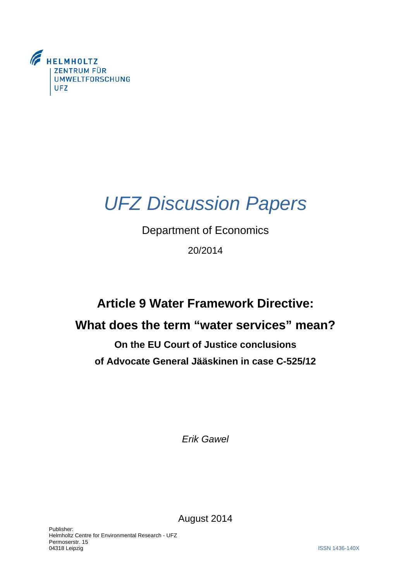

# *UFZ Discussion Papers*

## Department of Economics

20/2014

# **Article 9 Water Framework Directive:**

## **What does the term "water services" mean?**

# **On the EU Court of Justice conclusions of Advocate General Jääskinen in case C-525/12**

*Erik Gawel* 

August 2014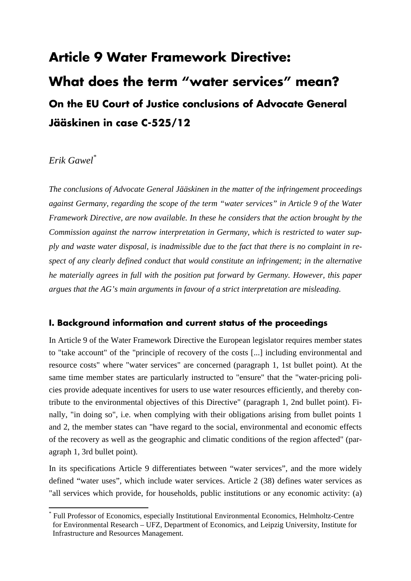# **Article 9 Water Framework Directive: What does the term "water services" mean? On the EU Court of Justice conclusions of Advocate General Jääskinen in case C-525/12**

## *Erik Gawel\**

*The conclusions of Advocate General Jääskinen in the matter of the infringement proceedings against Germany, regarding the scope of the term "water services" in Article 9 of the Water Framework Directive, are now available. In these he considers that the action brought by the Commission against the narrow interpretation in Germany, which is restricted to water supply and waste water disposal, is inadmissible due to the fact that there is no complaint in respect of any clearly defined conduct that would constitute an infringement; in the alternative he materially agrees in full with the position put forward by Germany. However, this paper argues that the AG's main arguments in favour of a strict interpretation are misleading.* 

## **I. Background information and current status of the proceedings**

In Article 9 of the Water Framework Directive the European legislator requires member states to "take account" of the "principle of recovery of the costs [...] including environmental and resource costs" where "water services" are concerned (paragraph 1, 1st bullet point). At the same time member states are particularly instructed to "ensure" that the "water-pricing policies provide adequate incentives for users to use water resources efficiently, and thereby contribute to the environmental objectives of this Directive" (paragraph 1, 2nd bullet point). Finally, "in doing so", i.e. when complying with their obligations arising from bullet points 1 and 2, the member states can "have regard to the social, environmental and economic effects of the recovery as well as the geographic and climatic conditions of the region affected" (paragraph 1, 3rd bullet point).

In its specifications Article 9 differentiates between "water services", and the more widely defined "water uses", which include water services. Article 2 (38) defines water services as "all services which provide, for households, public institutions or any economic activity: (a)

<sup>\*</sup> Full Professor of Economics, especially Institutional Environmental Economics, Helmholtz-Centre for Environmental Research – UFZ, Department of Economics, and Leipzig University, Institute for Infrastructure and Resources Management.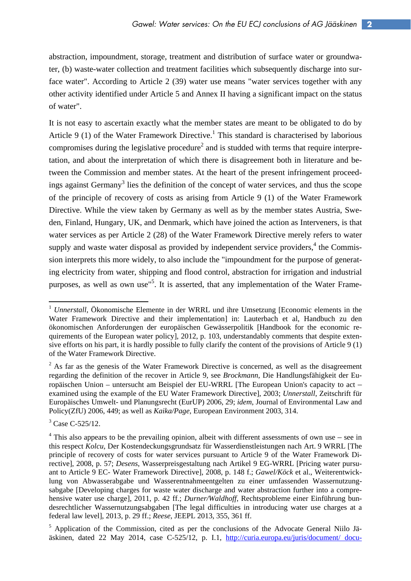abstraction, impoundment, storage, treatment and distribution of surface water or groundwater, (b) waste-water collection and treatment facilities which subsequently discharge into surface water". According to Article 2 (39) water use means "water services together with any other activity identified under Article 5 and Annex II having a significant impact on the status of water".

It is not easy to ascertain exactly what the member states are meant to be obligated to do by Article 9 (1) of the Water Framework Directive.<sup>1</sup> This standard is characterised by laborious compromises during the legislative procedure<sup>2</sup> and is studded with terms that require interpretation, and about the interpretation of which there is disagreement both in literature and between the Commission and member states. At the heart of the present infringement proceedings against Germany<sup>3</sup> lies the definition of the concept of water services, and thus the scope of the principle of recovery of costs as arising from Article 9 (1) of the Water Framework Directive. While the view taken by Germany as well as by the member states Austria, Sweden, Finland, Hungary, UK, and Denmark, which have joined the action as Interveners, is that water services as per Article 2 (28) of the Water Framework Directive merely refers to water supply and waste water disposal as provided by independent service providers, $<sup>4</sup>$  the Commis-</sup> sion interprets this more widely, to also include the "impoundment for the purpose of generating electricity from water, shipping and flood control, abstraction for irrigation and industrial purposes, as well as own use"<sup>5</sup>. It is asserted, that any implementation of the Water Frame-

<sup>&</sup>lt;sup>1</sup> *Unnerstall*, Ökonomische Elemente in der WRRL und ihre Umsetzung [Economic elements in the Water Framework Directive and their implementation] in: Lauterbach et al, Handbuch zu den ökonomischen Anforderungen der europäischen Gewässerpolitik [Handbook for the economic requirements of the European water policy], 2012, p. 103, understandably comments that despite extensive efforts on his part, it is hardly possible to fully clarify the content of the provisions of Article 9 (1) of the Water Framework Directive.

 $2$  As far as the genesis of the Water Framework Directive is concerned, as well as the disagreement regarding the definition of the recover in Article 9, see *Brockmann*, Die Handlungsfähigkeit der Europäischen Union – untersucht am Beispiel der EU-WRRL [The European Union's capacity to act – examined using the example of the EU Water Framework Directive], 2003; *Unnerstall*, Zeitschrift für Europäisches Umwelt- und Planungsrecht (EurUP) 2006, 29; *idem*, Journal of Environmental Law and Policy(ZfU) 2006, 449; as well as *Kaika/Page*, European Environment 2003, 314.

 $3$  Case C-525/12.

 $4$  This also appears to be the prevailing opinion, albeit with different assessments of own use – see in this respect *Kolcu,* Der Kostendeckungsgrundsatz für Wasserdienstleistungen nach Art. 9 WRRL [The principle of recovery of costs for water services pursuant to Article 9 of the Water Framework Directive], 2008, p. 57; *Desens*, Wasserpreisgestaltung nach Artikel 9 EG-WRRL [Pricing water pursuant to Article 9 EC- Water Framework Directive], 2008, p. 148 f.; *Gawel/Köck* et al., Weiterentwicklung von Abwasserabgabe und Wasserentnahmeentgelten zu einer umfassenden Wassernutzungsabgabe [Developing charges for waste water discharge and water abstraction further into a comprehensive water use charge], 2011, p. 42 ff.; *Durner/Waldhoff*, Rechtsprobleme einer Einführung bundesrechtlicher Wassernutzungsabgaben [The legal difficulties in introducing water use charges at a federal law level], 2013, p. 29 ff.; *Reese*, JEEPL 2013, 355, 361 ff.

<sup>&</sup>lt;sup>5</sup> Application of the Commission, cited as per the conclusions of the Advocate General Niilo Jääskinen, dated 22 May 2014, case C-525/12, p. I.1, http://curia.europa.eu/juris/document/ docu-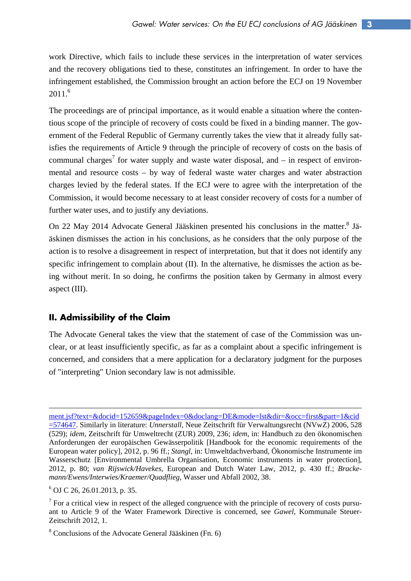work Directive, which fails to include these services in the interpretation of water services and the recovery obligations tied to these, constitutes an infringement. In order to have the infringement established, the Commission brought an action before the ECJ on 19 November  $2011.<sup>6</sup>$ 

The proceedings are of principal importance, as it would enable a situation where the contentious scope of the principle of recovery of costs could be fixed in a binding manner. The government of the Federal Republic of Germany currently takes the view that it already fully satisfies the requirements of Article 9 through the principle of recovery of costs on the basis of communal charges<sup>7</sup> for water supply and waste water disposal, and  $-$  in respect of environmental and resource costs – by way of federal waste water charges and water abstraction charges levied by the federal states. If the ECJ were to agree with the interpretation of the Commission, it would become necessary to at least consider recovery of costs for a number of further water uses, and to justify any deviations.

On 22 May 2014 Advocate General Jääskinen presented his conclusions in the matter.<sup>8</sup> Jääskinen dismisses the action in his conclusions, as he considers that the only purpose of the action is to resolve a disagreement in respect of interpretation, but that it does not identify any specific infringement to complain about (II). In the alternative, he dismisses the action as being without merit. In so doing, he confirms the position taken by Germany in almost every aspect (III).

### **II. Admissibility of the Claim**

The Advocate General takes the view that the statement of case of the Commission was unclear, or at least insufficiently specific, as far as a complaint about a specific infringement is concerned, and considers that a mere application for a declaratory judgment for the purposes of "interpreting" Union secondary law is not admissible.

<u> Andreas Andreas Andreas Andreas Andreas Andreas Andreas Andreas Andreas Andreas Andreas Andreas Andreas Andr</u>

ment.jsf?text=&docid=152659&pageIndex=0&doclang=DE&mode=lst&dir=&occ=first&part=1&cid =574647. Similarly in literature: *Unnerstall*, Neue Zeitschrift für Verwaltungsrecht (NVwZ) 2006, 528 (529); *idem*, Zeitschrift für Umweltrecht (ZUR) 2009, 236; *idem*, in: Handbuch zu den ökonomischen Anforderungen der europäischen Gewässerpolitik [Handbook for the economic requirements of the European water policy], 2012, p. 96 ff.; *Stangl*, in: Umweltdachverband, Ökonomische Instrumente im Wasserschutz [Environmental Umbrella Organisation, Economic instruments in water protection], 2012, p. 80; *van Rijswick/Havekes*, European and Dutch Water Law, 2012, p. 430 ff.; *Brackemann/Ewens/Interwies/Kraemer/Quadflieg*, Wasser und Abfall 2002, 38.

<sup>6</sup> OJ C 26, 26.01.2013, p. 35.

 $<sup>7</sup>$  For a critical view in respect of the alleged congruence with the principle of recovery of costs pursu-</sup> ant to Article 9 of the Water Framework Directive is concerned, see *Gawel*, Kommunale Steuer-Zeitschrift 2012, 1.

<sup>8</sup> Conclusions of the Advocate General Jääskinen (Fn. 6)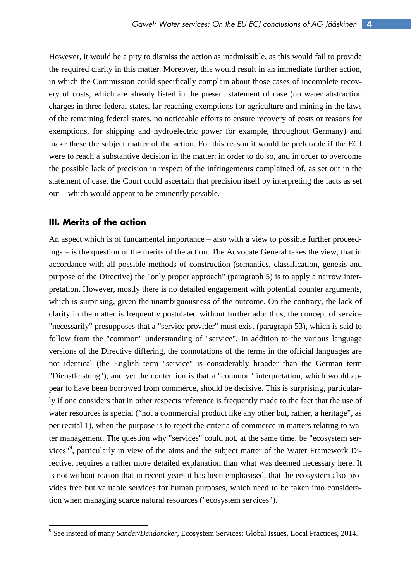However, it would be a pity to dismiss the action as inadmissible, as this would fail to provide the required clarity in this matter. Moreover, this would result in an immediate further action, in which the Commission could specifically complain about those cases of incomplete recovery of costs, which are already listed in the present statement of case (no water abstraction charges in three federal states, far-reaching exemptions for agriculture and mining in the laws of the remaining federal states, no noticeable efforts to ensure recovery of costs or reasons for exemptions, for shipping and hydroelectric power for example, throughout Germany) and make these the subject matter of the action. For this reason it would be preferable if the ECJ were to reach a substantive decision in the matter; in order to do so, and in order to overcome the possible lack of precision in respect of the infringements complained of, as set out in the statement of case, the Court could ascertain that precision itself by interpreting the facts as set out – which would appear to be eminently possible.

#### **III. Merits of the action**

An aspect which is of fundamental importance – also with a view to possible further proceedings – is the question of the merits of the action. The Advocate General takes the view, that in accordance with all possible methods of construction (semantics, classification, genesis and purpose of the Directive) the "only proper approach" (paragraph 5) is to apply a narrow interpretation. However, mostly there is no detailed engagement with potential counter arguments, which is surprising, given the unambiguousness of the outcome. On the contrary, the lack of clarity in the matter is frequently postulated without further ado: thus, the concept of service "necessarily" presupposes that a "service provider" must exist (paragraph 53), which is said to follow from the "common" understanding of "service". In addition to the various language versions of the Directive differing, the connotations of the terms in the official languages are not identical (the English term "service" is considerably broader than the German term "Dienstleistung"), and yet the contention is that a "common" interpretation, which would appear to have been borrowed from commerce, should be decisive. This is surprising, particularly if one considers that in other respects reference is frequently made to the fact that the use of water resources is special ("not a commercial product like any other but, rather, a heritage", as per recital 1), when the purpose is to reject the criteria of commerce in matters relating to water management. The question why "services" could not, at the same time, be "ecosystem services"<sup>9</sup>, particularly in view of the aims and the subject matter of the Water Framework Directive, requires a rather more detailed explanation than what was deemed necessary here. It is not without reason that in recent years it has been emphasised, that the ecosystem also provides free but valuable services for human purposes, which need to be taken into consideration when managing scarce natural resources ("ecosystem services").

<sup>9</sup> See instead of many *Sander/Dendoncker*, Ecosystem Services: Global Issues, Local Practices, 2014.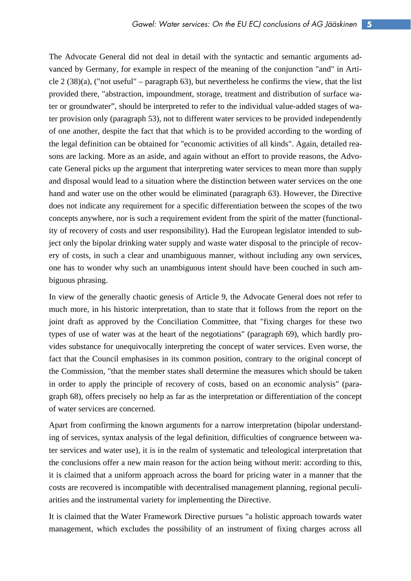The Advocate General did not deal in detail with the syntactic and semantic arguments advanced by Germany, for example in respect of the meaning of the conjunction "and" in Article 2 (38)(a), ("not useful" – paragraph 63), but nevertheless he confirms the view, that the list provided there, "abstraction, impoundment, storage, treatment and distribution of surface water or groundwater", should be interpreted to refer to the individual value-added stages of water provision only (paragraph 53), not to different water services to be provided independently of one another, despite the fact that that which is to be provided according to the wording of the legal definition can be obtained for "economic activities of all kinds". Again, detailed reasons are lacking. More as an aside, and again without an effort to provide reasons, the Advocate General picks up the argument that interpreting water services to mean more than supply and disposal would lead to a situation where the distinction between water services on the one hand and water use on the other would be eliminated (paragraph 63). However, the Directive does not indicate any requirement for a specific differentiation between the scopes of the two concepts anywhere, nor is such a requirement evident from the spirit of the matter (functionality of recovery of costs and user responsibility). Had the European legislator intended to subject only the bipolar drinking water supply and waste water disposal to the principle of recovery of costs, in such a clear and unambiguous manner, without including any own services, one has to wonder why such an unambiguous intent should have been couched in such ambiguous phrasing.

In view of the generally chaotic genesis of Article 9, the Advocate General does not refer to much more, in his historic interpretation, than to state that it follows from the report on the joint draft as approved by the Conciliation Committee, that "fixing charges for these two types of use of water was at the heart of the negotiations" (paragraph 69), which hardly provides substance for unequivocally interpreting the concept of water services. Even worse, the fact that the Council emphasises in its common position, contrary to the original concept of the Commission, "that the member states shall determine the measures which should be taken in order to apply the principle of recovery of costs, based on an economic analysis" (paragraph 68), offers precisely no help as far as the interpretation or differentiation of the concept of water services are concerned.

Apart from confirming the known arguments for a narrow interpretation (bipolar understanding of services, syntax analysis of the legal definition, difficulties of congruence between water services and water use), it is in the realm of systematic and teleological interpretation that the conclusions offer a new main reason for the action being without merit: according to this, it is claimed that a uniform approach across the board for pricing water in a manner that the costs are recovered is incompatible with decentralised management planning, regional peculiarities and the instrumental variety for implementing the Directive.

It is claimed that the Water Framework Directive pursues "a holistic approach towards water management, which excludes the possibility of an instrument of fixing charges across all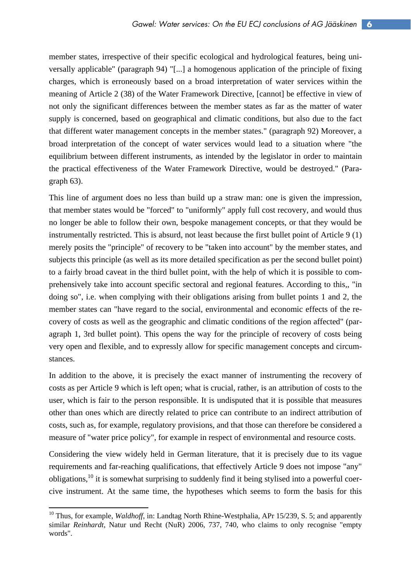member states, irrespective of their specific ecological and hydrological features, being universally applicable" (paragraph 94) "[...] a homogenous application of the principle of fixing charges, which is erroneously based on a broad interpretation of water services within the meaning of Article 2 (38) of the Water Framework Directive, [cannot] be effective in view of not only the significant differences between the member states as far as the matter of water supply is concerned, based on geographical and climatic conditions, but also due to the fact that different water management concepts in the member states." (paragraph 92) Moreover, a broad interpretation of the concept of water services would lead to a situation where "the equilibrium between different instruments, as intended by the legislator in order to maintain the practical effectiveness of the Water Framework Directive, would be destroyed." (Paragraph 63).

This line of argument does no less than build up a straw man: one is given the impression, that member states would be "forced" to "uniformly" apply full cost recovery, and would thus no longer be able to follow their own, bespoke management concepts, or that they would be instrumentally restricted. This is absurd, not least because the first bullet point of Article 9 (1) merely posits the "principle" of recovery to be "taken into account" by the member states, and subjects this principle (as well as its more detailed specification as per the second bullet point) to a fairly broad caveat in the third bullet point, with the help of which it is possible to comprehensively take into account specific sectoral and regional features. According to this,, "in doing so", i.e. when complying with their obligations arising from bullet points 1 and 2, the member states can "have regard to the social, environmental and economic effects of the recovery of costs as well as the geographic and climatic conditions of the region affected" (paragraph 1, 3rd bullet point). This opens the way for the principle of recovery of costs being very open and flexible, and to expressly allow for specific management concepts and circumstances.

In addition to the above, it is precisely the exact manner of instrumenting the recovery of costs as per Article 9 which is left open; what is crucial, rather, is an attribution of costs to the user, which is fair to the person responsible. It is undisputed that it is possible that measures other than ones which are directly related to price can contribute to an indirect attribution of costs, such as, for example, regulatory provisions, and that those can therefore be considered a measure of "water price policy", for example in respect of environmental and resource costs.

Considering the view widely held in German literature, that it is precisely due to its vague requirements and far-reaching qualifications, that effectively Article 9 does not impose "any" obligations,10 it is somewhat surprising to suddenly find it being stylised into a powerful coercive instrument. At the same time, the hypotheses which seems to form the basis for this

<sup>&</sup>lt;sup>10</sup> Thus, for example, *Waldhoff*, in: Landtag North Rhine-Westphalia, APr 15/239, S. 5; and apparently similar *Reinhardt*, Natur und Recht (NuR) 2006, 737, 740, who claims to only recognise "empty words".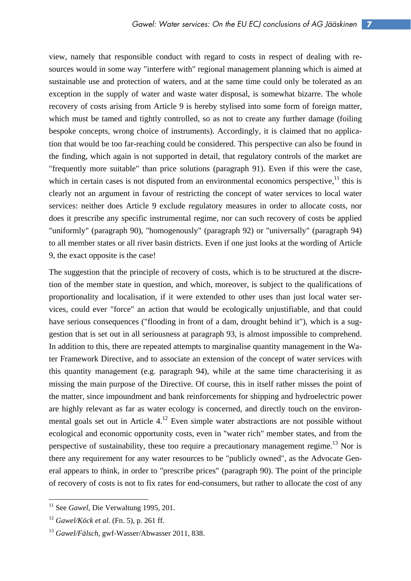view, namely that responsible conduct with regard to costs in respect of dealing with resources would in some way "interfere with" regional management planning which is aimed at sustainable use and protection of waters, and at the same time could only be tolerated as an exception in the supply of water and waste water disposal, is somewhat bizarre. The whole recovery of costs arising from Article 9 is hereby stylised into some form of foreign matter, which must be tamed and tightly controlled, so as not to create any further damage (foiling bespoke concepts, wrong choice of instruments). Accordingly, it is claimed that no application that would be too far-reaching could be considered. This perspective can also be found in the finding, which again is not supported in detail, that regulatory controls of the market are "frequently more suitable" than price solutions (paragraph 91). Even if this were the case, which in certain cases is not disputed from an environmental economics perspective, $11$  this is clearly not an argument in favour of restricting the concept of water services to local water services: neither does Article 9 exclude regulatory measures in order to allocate costs, nor does it prescribe any specific instrumental regime, nor can such recovery of costs be applied "uniformly" (paragraph 90), "homogenously" (paragraph 92) or "universally" (paragraph 94) to all member states or all river basin districts. Even if one just looks at the wording of Article 9, the exact opposite is the case!

The suggestion that the principle of recovery of costs, which is to be structured at the discretion of the member state in question, and which, moreover, is subject to the qualifications of proportionality and localisation, if it were extended to other uses than just local water services, could ever "force" an action that would be ecologically unjustifiable, and that could have serious consequences ("flooding in front of a dam, drought behind it"), which is a suggestion that is set out in all seriousness at paragraph 93, is almost impossible to comprehend. In addition to this, there are repeated attempts to marginalise quantity management in the Water Framework Directive, and to associate an extension of the concept of water services with this quantity management (e.g. paragraph 94), while at the same time characterising it as missing the main purpose of the Directive. Of course, this in itself rather misses the point of the matter, since impoundment and bank reinforcements for shipping and hydroelectric power are highly relevant as far as water ecology is concerned, and directly touch on the environmental goals set out in Article  $4<sup>12</sup>$  Even simple water abstractions are not possible without ecological and economic opportunity costs, even in "water rich" member states, and from the perspective of sustainability, these too require a precautionary management regime.<sup>13</sup> Nor is there any requirement for any water resources to be "publicly owned", as the Advocate General appears to think, in order to "prescribe prices" (paragraph 90). The point of the principle of recovery of costs is not to fix rates for end-consumers, but rather to allocate the cost of any

<sup>&</sup>lt;sup>11</sup> See *Gawel*, Die Verwaltung 1995, 201.

<sup>12</sup> *Gawel/Köck et al.* (Fn. 5), p. 261 ff.

<sup>13</sup> *Gawel/Fälsch*, gwf-Wasser/Abwasser 2011, 838.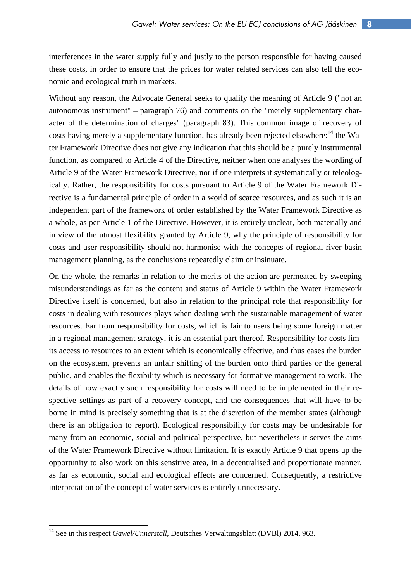interferences in the water supply fully and justly to the person responsible for having caused these costs, in order to ensure that the prices for water related services can also tell the economic and ecological truth in markets.

Without any reason, the Advocate General seeks to qualify the meaning of Article 9 ("not an autonomous instrument" – paragraph 76) and comments on the "merely supplementary character of the determination of charges" (paragraph 83). This common image of recovery of costs having merely a supplementary function, has already been rejected elsewhere:<sup>14</sup> the Water Framework Directive does not give any indication that this should be a purely instrumental function, as compared to Article 4 of the Directive, neither when one analyses the wording of Article 9 of the Water Framework Directive, nor if one interprets it systematically or teleologically. Rather, the responsibility for costs pursuant to Article 9 of the Water Framework Directive is a fundamental principle of order in a world of scarce resources, and as such it is an independent part of the framework of order established by the Water Framework Directive as a whole, as per Article 1 of the Directive. However, it is entirely unclear, both materially and in view of the utmost flexibility granted by Article 9, why the principle of responsibility for costs and user responsibility should not harmonise with the concepts of regional river basin management planning, as the conclusions repeatedly claim or insinuate.

On the whole, the remarks in relation to the merits of the action are permeated by sweeping misunderstandings as far as the content and status of Article 9 within the Water Framework Directive itself is concerned, but also in relation to the principal role that responsibility for costs in dealing with resources plays when dealing with the sustainable management of water resources. Far from responsibility for costs, which is fair to users being some foreign matter in a regional management strategy, it is an essential part thereof. Responsibility for costs limits access to resources to an extent which is economically effective, and thus eases the burden on the ecosystem, prevents an unfair shifting of the burden onto third parties or the general public, and enables the flexibility which is necessary for formative management to work. The details of how exactly such responsibility for costs will need to be implemented in their respective settings as part of a recovery concept, and the consequences that will have to be borne in mind is precisely something that is at the discretion of the member states (although there is an obligation to report). Ecological responsibility for costs may be undesirable for many from an economic, social and political perspective, but nevertheless it serves the aims of the Water Framework Directive without limitation. It is exactly Article 9 that opens up the opportunity to also work on this sensitive area, in a decentralised and proportionate manner, as far as economic, social and ecological effects are concerned. Consequently, a restrictive interpretation of the concept of water services is entirely unnecessary.

<sup>&</sup>lt;sup>14</sup> See in this respect *Gawel/Unnerstall*, Deutsches Verwaltungsblatt (DVBI) 2014, 963.